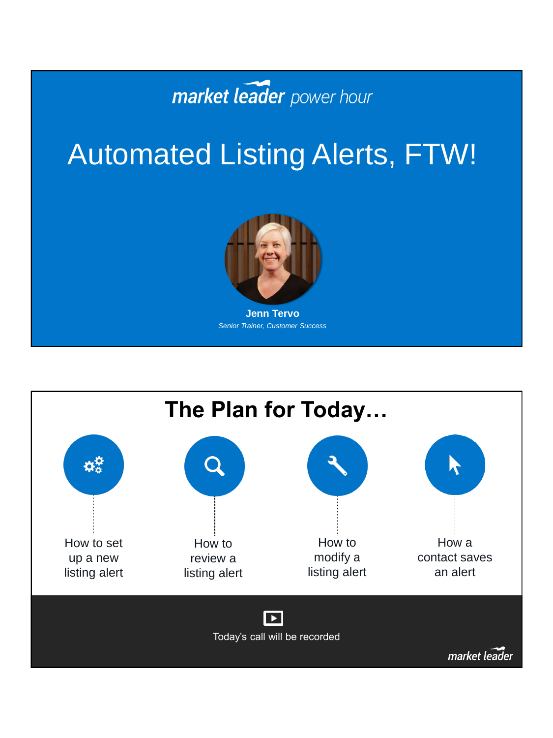

### Automated Listing Alerts, FTW!



*Senior Trainer, Customer Success*

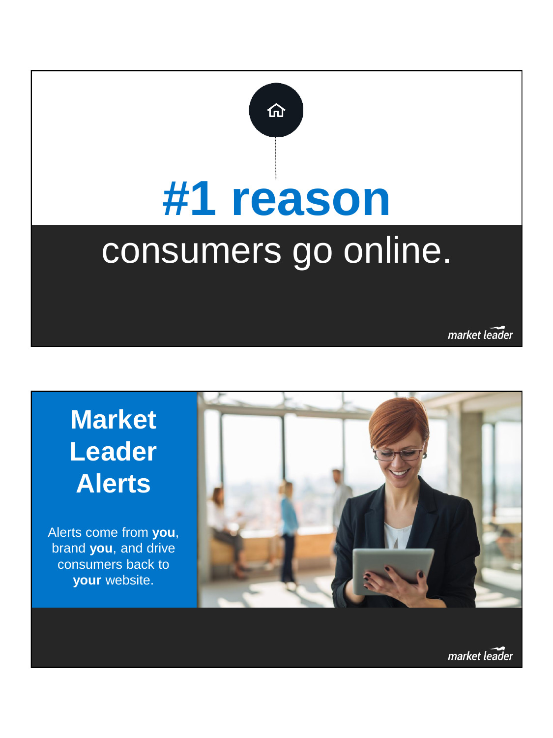

market leader

### **Market Leader Alerts**

Alerts come from **you**, brand **you**, and drive consumers back to **your** website.

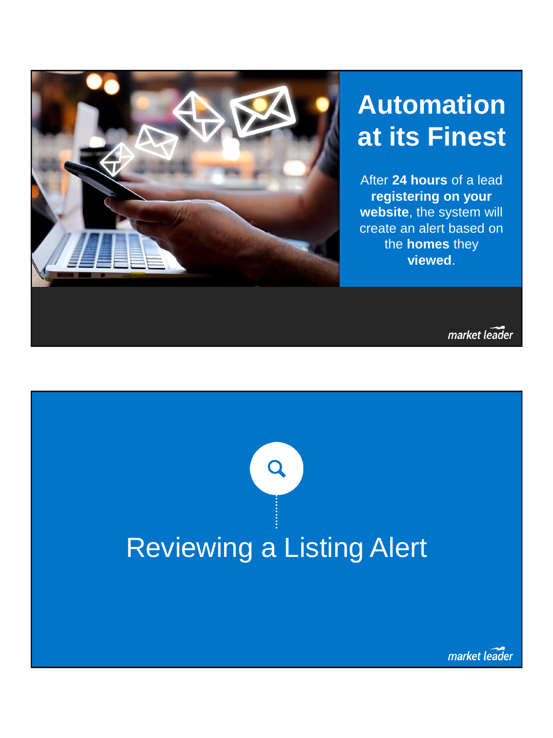

### **Automation at its Finest**

After **24 hours** of a lead **registering on your website**, the system will create an alert based on the **homes** they **viewed**.

market leader

## Q Reviewing a Listing Alert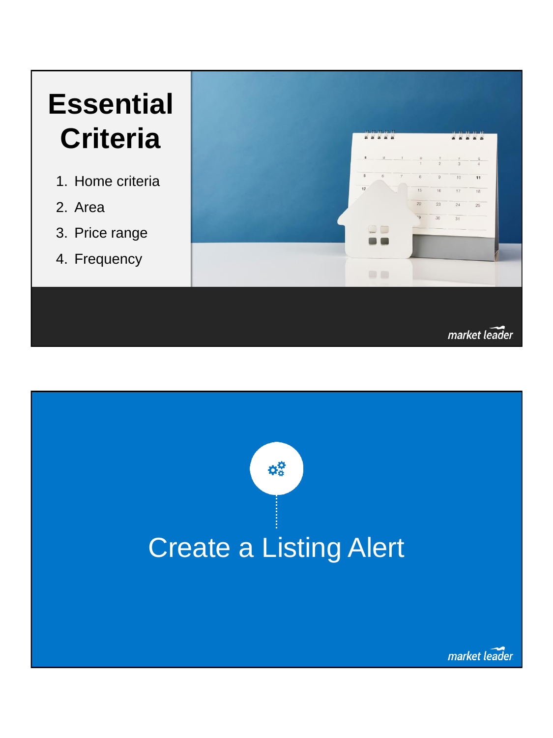### **Essential Criteria**

- 1. Home criteria
- 2. Area
- 3. Price range
- 4. Frequency



market leader

# ۵Ö Create a Listing Alertmarket leader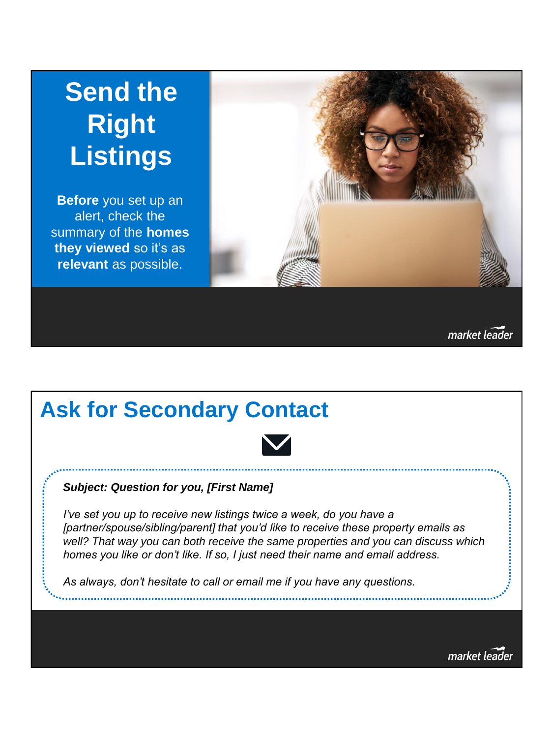### **Send the Right Listings**

**Before** you set up an alert, check the summary of the **homes they viewed** so it's as **relevant** as possible.



market leader

### **Ask for Secondary Contact**



#### *Subject: Question for you, [First Name]*

*I've set you up to receive new listings twice a week, do you have a [partner/spouse/sibling/parent] that you'd like to receive these property emails as well? That way you can both receive the same properties and you can discuss which homes you like or don't like. If so, I just need their name and email address.*

*As always, don't hesitate to call or email me if you have any questions.*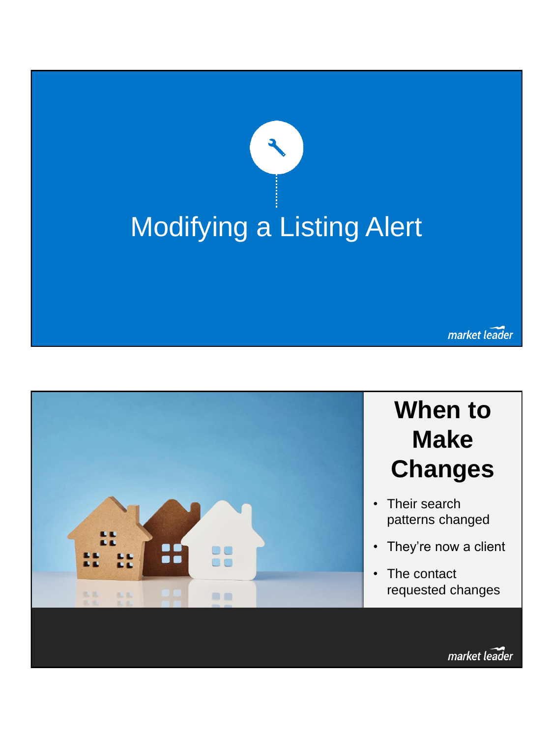

market leader

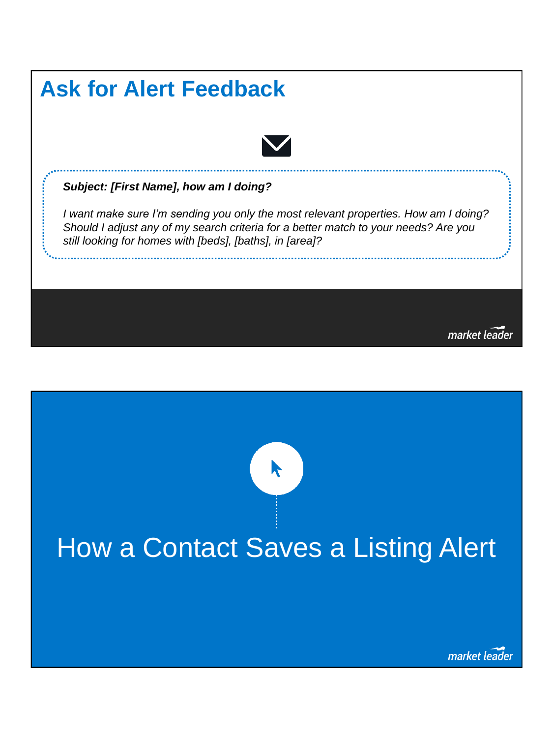

## How a Contact Saves a Listing Alert